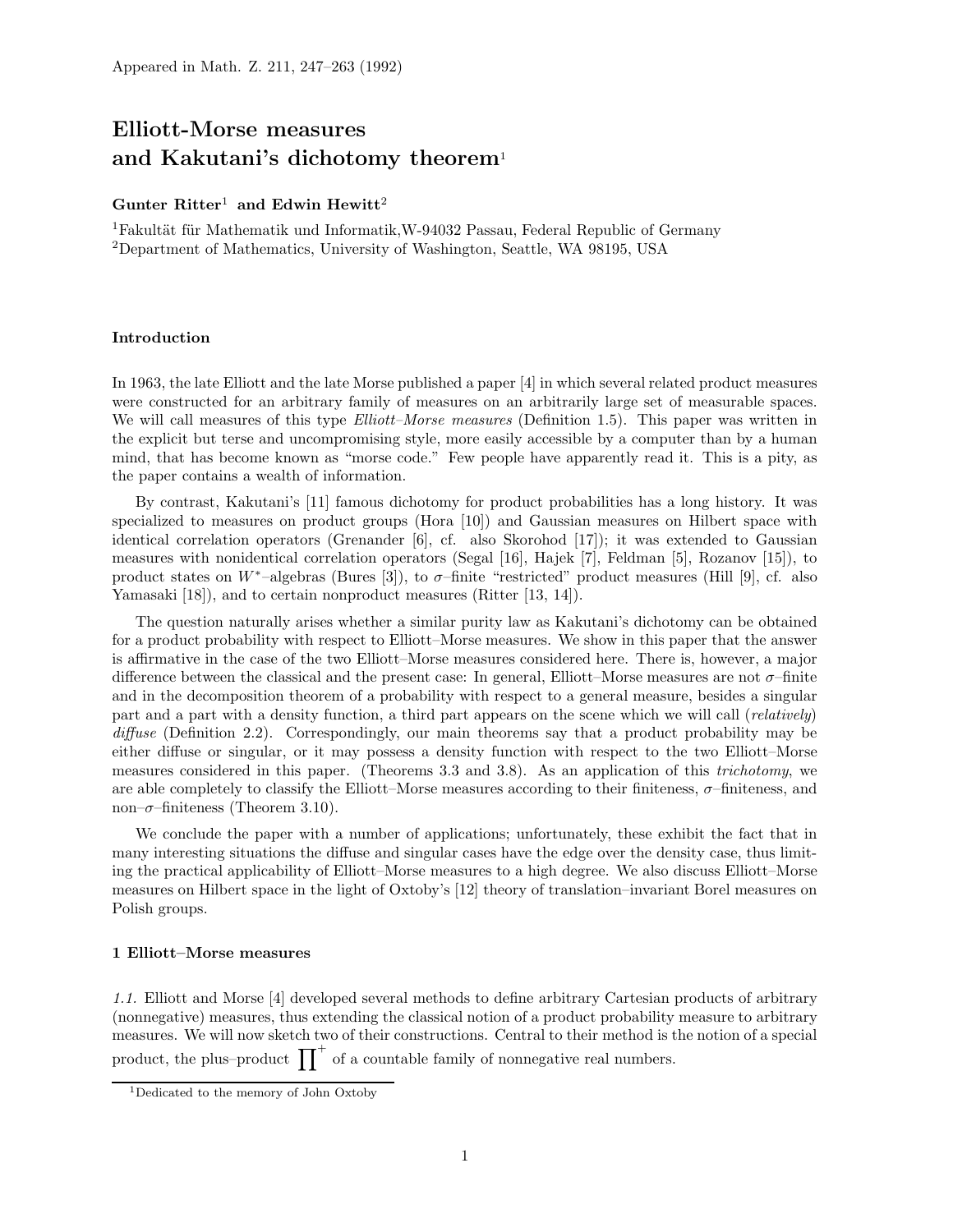# Elliott-Morse measures and Kakutani's dichotomy theorem<sup>1</sup>

# Gunter Ritter<sup>1</sup> and Edwin Hewitt<sup>2</sup>

<sup>1</sup>Fakultät für Mathematik und Informatik, W-94032 Passau, Federal Republic of Germany <sup>2</sup>Department of Mathematics, University of Washington, Seattle, WA 98195, USA

# Introduction

In 1963, the late Elliott and the late Morse published a paper [4] in which several related product measures were constructed for an arbitrary family of measures on an arbitrarily large set of measurable spaces. We will call measures of this type *Elliott–Morse measures* (Definition 1.5). This paper was written in the explicit but terse and uncompromising style, more easily accessible by a computer than by a human mind, that has become known as "morse code." Few people have apparently read it. This is a pity, as the paper contains a wealth of information.

By contrast, Kakutani's [11] famous dichotomy for product probabilities has a long history. It was specialized to measures on product groups (Hora [10]) and Gaussian measures on Hilbert space with identical correlation operators (Grenander [6], cf. also Skorohod [17]); it was extended to Gaussian measures with nonidentical correlation operators (Segal [16], Hajek [7], Feldman [5], Rozanov [15]), to product states on W<sup>∗</sup>–algebras (Bures [3]), to  $\sigma$ –finite "restricted" product measures (Hill [9], cf. also Yamasaki [18]), and to certain nonproduct measures (Ritter [13, 14]).

The question naturally arises whether a similar purity law as Kakutani's dichotomy can be obtained for a product probability with respect to Elliott–Morse measures. We show in this paper that the answer is affirmative in the case of the two Elliott–Morse measures considered here. There is, however, a major difference between the classical and the present case: In general, Elliott–Morse measures are not σ–finite and in the decomposition theorem of a probability with respect to a general measure, besides a singular part and a part with a density function, a third part appears on the scene which we will call (relatively) diffuse (Definition 2.2). Correspondingly, our main theorems say that a product probability may be either diffuse or singular, or it may possess a density function with respect to the two Elliott–Morse measures considered in this paper. (Theorems 3.3 and 3.8). As an application of this trichotomy, we are able completely to classify the Elliott–Morse measures according to their finiteness,  $\sigma$ –finiteness, and non– $\sigma$ –finiteness (Theorem 3.10).

We conclude the paper with a number of applications; unfortunately, these exhibit the fact that in many interesting situations the diffuse and singular cases have the edge over the density case, thus limiting the practical applicability of Elliott–Morse measures to a high degree. We also discuss Elliott–Morse measures on Hilbert space in the light of Oxtoby's [12] theory of translation–invariant Borel measures on Polish groups.

### 1 Elliott–Morse measures

1.1. Elliott and Morse [4] developed several methods to define arbitrary Cartesian products of arbitrary (nonnegative) measures, thus extending the classical notion of a product probability measure to arbitrary measures. We will now sketch two of their constructions. Central to their method is the notion of a special product, the plus–product  $\prod^+$  of a countable family of nonnegative real numbers.

<sup>1</sup>Dedicated to the memory of John Oxtoby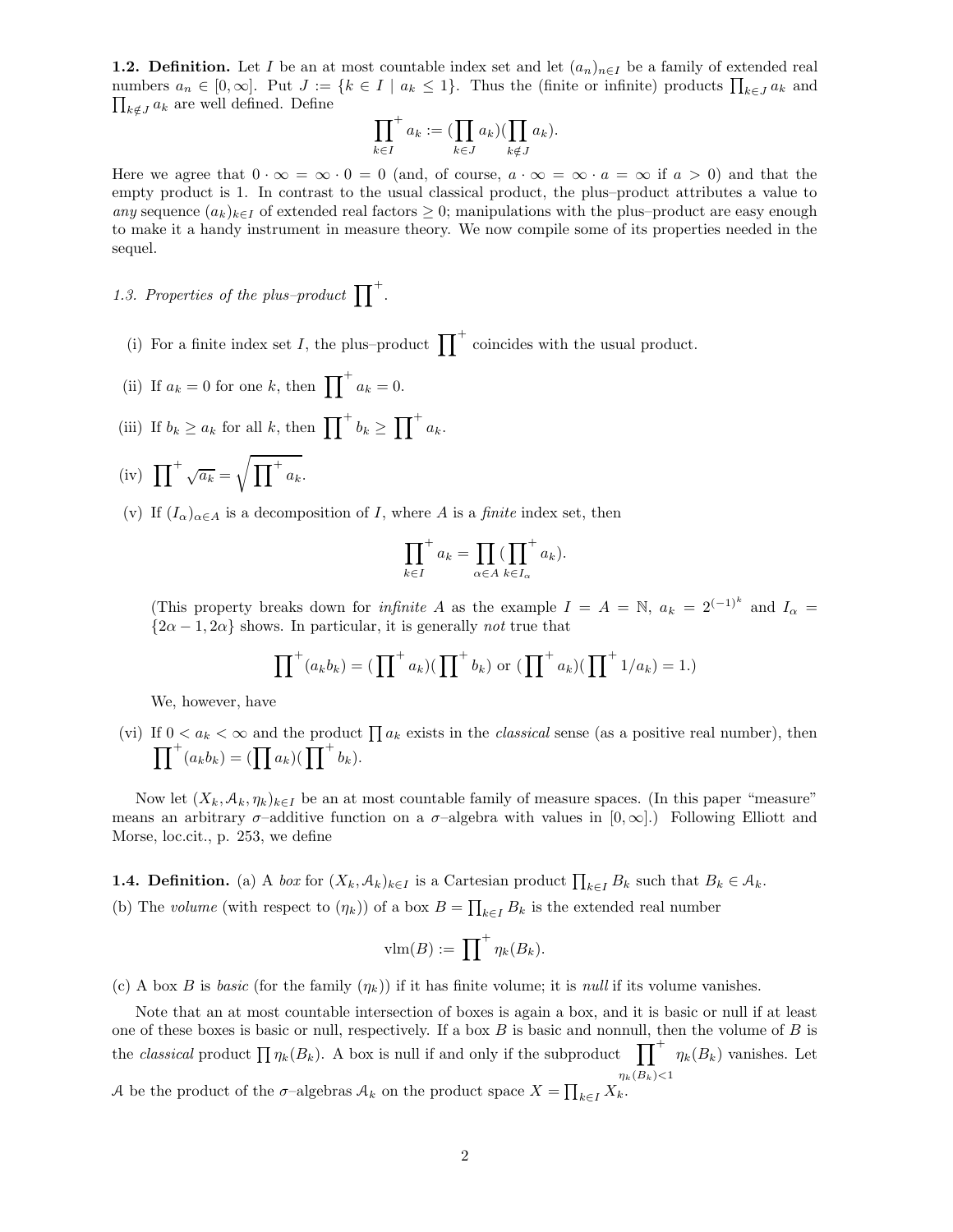**1.2. Definition.** Let I be an at most countable index set and let  $(a_n)_{n\in I}$  be a family of extended real numbers  $a_n \in [0, \infty]$ . Put  $J := \{k \in I \mid a_k \leq 1\}$ . Thus the (finite or infinite) products  $\prod_{k \in J} a_k$  and  $\prod_{k \notin J} a_k$  are well defined. Define

$$
\prod_{k \in I}^+ a_k := (\prod_{k \in J} a_k) (\prod_{k \notin J} a_k).
$$

Here we agree that  $0 \cdot \infty = \infty \cdot 0 = 0$  (and, of course,  $a \cdot \infty = \infty \cdot a = \infty$  if  $a > 0$ ) and that the empty product is 1. In contrast to the usual classical product, the plus–product attributes a value to any sequence  $(a_k)_{k\in I}$  of extended real factors  $\geq 0$ ; manipulations with the plus–product are easy enough to make it a handy instrument in measure theory. We now compile some of its properties needed in the sequel.

1.3. Properties of the plus–product  $\prod^+$ .

- (i) For a finite index set I, the plus–product  $\prod^+$  coincides with the usual product.
- (ii) If  $a_k = 0$  for one k, then  $\prod^+ a_k = 0$ .
- (iii) If  $b_k \ge a_k$  for all k, then  $\prod^+ b_k \ge \prod^+ a_k$ .
- (iv)  $\prod^+ \sqrt{a_k} = \sqrt{\prod^+ a_k}.$
- (v) If  $(I_{\alpha})_{\alpha \in A}$  is a decomposition of I, where A is a *finite* index set, then

$$
\prod_{k \in I}^+ a_k = \prod_{\alpha \in A} (\prod_{k \in I_\alpha}^+ a_k).
$$

(This property breaks down for *infinite A* as the example  $I = A = N$ ,  $a_k = 2^{(-1)^k}$  and  $I_{\alpha} =$  ${2\alpha - 1, 2\alpha}$  shows. In particular, it is generally *not* true that

$$
\prod^+(a_kb_k)=(\prod^+a_k)(\prod^+b_k)\text{ or }(\prod^+a_k)(\prod^+1/a_k)=1.)
$$

We, however, have

(vi) If  $0 < a_k < \infty$  and the product  $\prod a_k$  exists in the *classical* sense (as a positive real number), then  $\prod^+(a_kb_k)=(\prod a_k)(\prod^+b_k).$ 

Now let  $(X_k, \mathcal{A}_k, \eta_k)_{k\in I}$  be an at most countable family of measure spaces. (In this paper "measure" means an arbitrary  $\sigma$ –additive function on a  $\sigma$ –algebra with values in  $[0,\infty]$ .) Following Elliott and Morse, loc.cit., p. 253, we define

**1.4. Definition.** (a) A *box* for  $(X_k, \mathcal{A}_k)_{k \in I}$  is a Cartesian product  $\prod_{k \in I} B_k$  such that  $B_k \in \mathcal{A}_k$ .

(b) The *volume* (with respect to 
$$
(\eta_k)
$$
) of a box  $B = \prod_{k \in I} B_k$  is the extended real number

$$
\text{vlm}(B) := \prod^{+} \eta_{k}(B_{k}).
$$

(c) A box B is basic (for the family  $(\eta_k)$ ) if it has finite volume; it is *null* if its volume vanishes.

Note that an at most countable intersection of boxes is again a box, and it is basic or null if at least one of these boxes is basic or null, respectively. If a box  $B$  is basic and nonnull, then the volume of  $B$  is the *classical* product  $\prod_{k} \eta_k(B_k)$ . A box is null if and only if the subproduct  $\prod_{k}$  $\eta_k(B_k)$  < 1  $\eta_k(B_k)$  vanishes. Let A be the product of the  $\sigma$ -algebras  $\mathcal{A}_k$  on the product space  $X = \prod_{k \in I} X_k$ .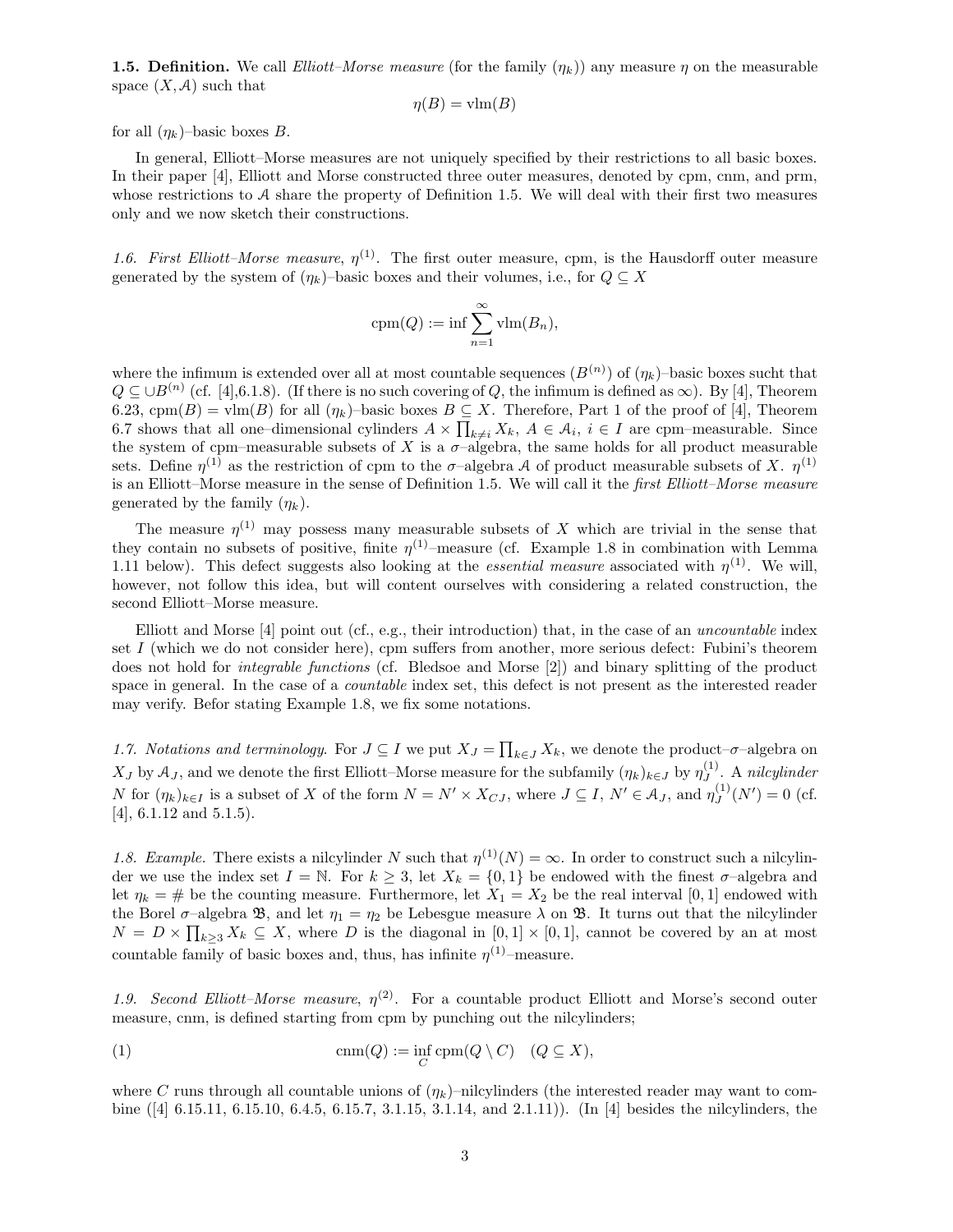**1.5. Definition.** We call *Elliott–Morse measure* (for the family  $(\eta_k)$ ) any measure  $\eta$  on the measurable space  $(X, \mathcal{A})$  such that

$$
\eta(B) = \text{vlm}(B)
$$

for all  $(\eta_k)$ –basic boxes B.

In general, Elliott–Morse measures are not uniquely specified by their restrictions to all basic boxes. In their paper [4], Elliott and Morse constructed three outer measures, denoted by cpm, cnm, and prm, whose restrictions to  $A$  share the property of Definition 1.5. We will deal with their first two measures only and we now sketch their constructions.

1.6. First Elliott–Morse measure,  $\eta^{(1)}$ . The first outer measure, cpm, is the Hausdorff outer measure generated by the system of  $(\eta_k)$ –basic boxes and their volumes, i.e., for  $Q \subseteq X$ 

$$
\operatorname{cpm}(Q) := \inf \sum_{n=1}^{\infty} \operatorname{vlm}(B_n),
$$

where the infimum is extended over all at most countable sequences  $(B^{(n)})$  of  $(\eta_k)$ -basic boxes sucht that  $Q \subseteq \cup B^{(n)}$  (cf. [4], 6.1.8). (If there is no such covering of Q, the infimum is defined as  $\infty$ ). By [4], Theorem 6.23, cpm(B) = vlm(B) for all  $(\eta_k)$ -basic boxes  $B \subseteq X$ . Therefore, Part 1 of the proof of [4], Theorem 6.7 shows that all one–dimensional cylinders  $A \times \prod_{k \neq i} X_k$ ,  $A \in \mathcal{A}_i$ ,  $i \in I$  are cpm–measurable. Since the system of cpm–measurable subsets of X is a  $\sigma$ –algebra, the same holds for all product measurable sets. Define  $\eta^{(1)}$  as the restriction of cpm to the  $\sigma$ -algebra A of product measurable subsets of X.  $\eta^{(1)}$ is an Elliott–Morse measure in the sense of Definition 1.5. We will call it the first Elliott–Morse measure generated by the family  $(\eta_k)$ .

The measure  $\eta^{(1)}$  may possess many measurable subsets of X which are trivial in the sense that they contain no subsets of positive, finite  $\eta^{(1)}$ -measure (cf. Example 1.8 in combination with Lemma 1.11 below). This defect suggests also looking at the *essential measure* associated with  $\eta^{(1)}$ . We will, however, not follow this idea, but will content ourselves with considering a related construction, the second Elliott–Morse measure.

Elliott and Morse [4] point out (cf., e.g., their introduction) that, in the case of an uncountable index set I (which we do not consider here), cpm suffers from another, more serious defect: Fubini's theorem does not hold for integrable functions (cf. Bledsoe and Morse [2]) and binary splitting of the product space in general. In the case of a *countable* index set, this defect is not present as the interested reader may verify. Befor stating Example 1.8, we fix some notations.

1.7. Notations and terminology. For  $J \subseteq I$  we put  $X_J = \prod_{k \in J} X_k$ , we denote the product– $\sigma$ –algebra on  $X_J$  by  $\mathcal{A}_J$ , and we denote the first Elliott–Morse measure for the subfamily  $(\eta_k)_{k\in J}$  by  $\eta_J^{(1)}$  $J^{\left(1\right)}$ . A nilcylinder N for  $(\eta_k)_{k\in I}$  is a subset of X of the form  $N = N' \times X_{CJ}$ , where  $J \subseteq I$ ,  $N' \in \mathcal{A}_J$ , and  $\eta_J^{(1)}$  $J^{(1)}(N')=0$  (cf. [4], 6.1.12 and 5.1.5).

1.8. Example. There exists a nilcylinder N such that  $\eta^{(1)}(N) = \infty$ . In order to construct such a nilcylinder we use the index set  $I = N$ . For  $k \geq 3$ , let  $X_k = \{0,1\}$  be endowed with the finest  $\sigma$ -algebra and let  $\eta_k = \#$  be the counting measure. Furthermore, let  $X_1 = X_2$  be the real interval [0, 1] endowed with the Borel  $\sigma$ -algebra  $\mathfrak{B}$ , and let  $\eta_1 = \eta_2$  be Lebesgue measure  $\lambda$  on  $\mathfrak{B}$ . It turns out that the nilcylinder  $N = D \times \prod_{k \geq 3} X_k \subseteq X$ , where D is the diagonal in  $[0,1] \times [0,1]$ , cannot be covered by an at most countable family of basic boxes and, thus, has infinite  $\eta^{(1)}$ -measure.

1.9. Second Elliott-Morse measure,  $\eta^{(2)}$ . For a countable product Elliott and Morse's second outer measure, cnm, is defined starting from cpm by punching out the nilcylinders;

(1) 
$$
\operatorname{cnm}(Q) := \inf_C \operatorname{cpm}(Q \setminus C) \quad (Q \subseteq X),
$$

where C runs through all countable unions of  $(\eta_k)$ –nilcylinders (the interested reader may want to combine ([4] 6.15.11, 6.15.10, 6.4.5, 6.15.7, 3.1.15, 3.1.14, and 2.1.11)). (In [4] besides the nilcylinders, the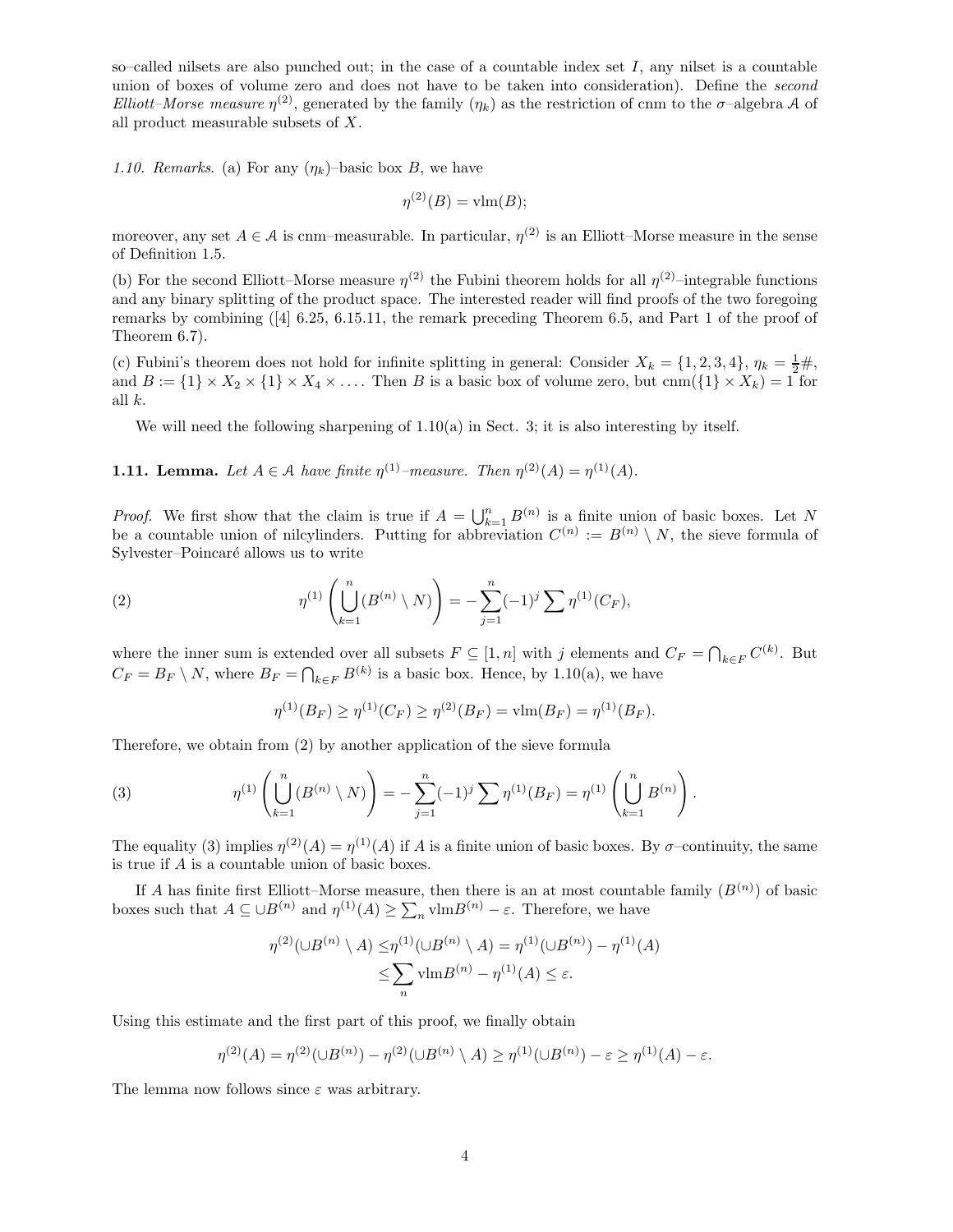so–called nilsets are also punched out; in the case of a countable index set I, any nilset is a countable union of boxes of volume zero and does not have to be taken into consideration). Define the second Elliott–Morse measure  $\eta^{(2)}$ , generated by the family  $(\eta_k)$  as the restriction of cnm to the  $\sigma$ –algebra A of all product measurable subsets of X.

1.10. Remarks. (a) For any  $(\eta_k)$ -basic box B, we have

$$
\eta^{(2)}(B) = \text{vlm}(B);
$$

moreover, any set  $A \in \mathcal{A}$  is cnm–measurable. In particular,  $\eta^{(2)}$  is an Elliott–Morse measure in the sense of Definition 1.5.

(b) For the second Elliott–Morse measure  $\eta^{(2)}$  the Fubini theorem holds for all  $\eta^{(2)}$ –integrable functions and any binary splitting of the product space. The interested reader will find proofs of the two foregoing remarks by combining ([4] 6.25, 6.15.11, the remark preceding Theorem 6.5, and Part 1 of the proof of Theorem 6.7).

(c) Fubini's theorem does not hold for infinite splitting in general: Consider  $X_k = \{1, 2, 3, 4\}, \eta_k = \frac{1}{2} \#$ , and  $B := \{1\} \times X_2 \times \{1\} \times X_4 \times \ldots$  Then B is a basic box of volume zero, but cnm( $\{1\} \times X_k$ ) = 1 for all k.

We will need the following sharpening of  $1.10(a)$  in Sect. 3; it is also interesting by itself.

**1.11. Lemma.** Let  $A \in \mathcal{A}$  have finite  $\eta^{(1)}$ -measure. Then  $\eta^{(2)}(A) = \eta^{(1)}(A)$ .

*Proof.* We first show that the claim is true if  $A = \bigcup_{k=1}^{n} B^{(n)}$  is a finite union of basic boxes. Let N be a countable union of nilcylinders. Putting for abbreviation  $C^{(n)} := B^{(n)} \setminus N$ , the sieve formula of Sylvester–Poincaré allows us to write

(2) 
$$
\eta^{(1)}\left(\bigcup_{k=1}^{n} (B^{(n)} \setminus N)\right) = -\sum_{j=1}^{n} (-1)^{j} \sum \eta^{(1)}(C_F),
$$

where the inner sum is extended over all subsets  $F \subseteq [1, n]$  with j elements and  $C_F = \bigcap_{k \in F} C^{(k)}$ . But  $C_F = B_F \setminus N$ , where  $B_F = \bigcap_{k \in F} B^{(k)}$  is a basic box. Hence, by 1.10(a), we have

$$
\eta^{(1)}(B_F) \ge \eta^{(1)}(C_F) \ge \eta^{(2)}(B_F) = \text{vlm}(B_F) = \eta^{(1)}(B_F).
$$

Therefore, we obtain from (2) by another application of the sieve formula

(3) 
$$
\eta^{(1)}\left(\bigcup_{k=1}^n (B^{(n)}\setminus N)\right)=-\sum_{j=1}^n (-1)^j\sum \eta^{(1)}(B_F)=\eta^{(1)}\left(\bigcup_{k=1}^n B^{(n)}\right).
$$

The equality (3) implies  $\eta^{(2)}(A) = \eta^{(1)}(A)$  if A is a finite union of basic boxes. By  $\sigma$ -continuity, the same is true if A is a countable union of basic boxes.

If A has finite first Elliott–Morse measure, then there is an at most countable family  $(B^{(n)})$  of basic boxes such that  $A \subseteq \bigcup B^{(n)}$  and  $\eta^{(1)}(A) \geq \sum_{n} \text{vlm} B^{(n)} - \varepsilon$ . Therefore, we have

$$
\eta^{(2)}(\cup B^{(n)} \setminus A) \leq \eta^{(1)}(\cup B^{(n)} \setminus A) = \eta^{(1)}(\cup B^{(n)}) - \eta^{(1)}(A) \leq \sum_{n} \text{vlm}(B^{(n)} - \eta^{(1)}(A) \leq \varepsilon.
$$

Using this estimate and the first part of this proof, we finally obtain

$$
\eta^{(2)}(A) = \eta^{(2)}(\cup B^{(n)}) - \eta^{(2)}(\cup B^{(n)} \setminus A) \ge \eta^{(1)}(\cup B^{(n)}) - \varepsilon \ge \eta^{(1)}(A) - \varepsilon.
$$

The lemma now follows since  $\varepsilon$  was arbitrary.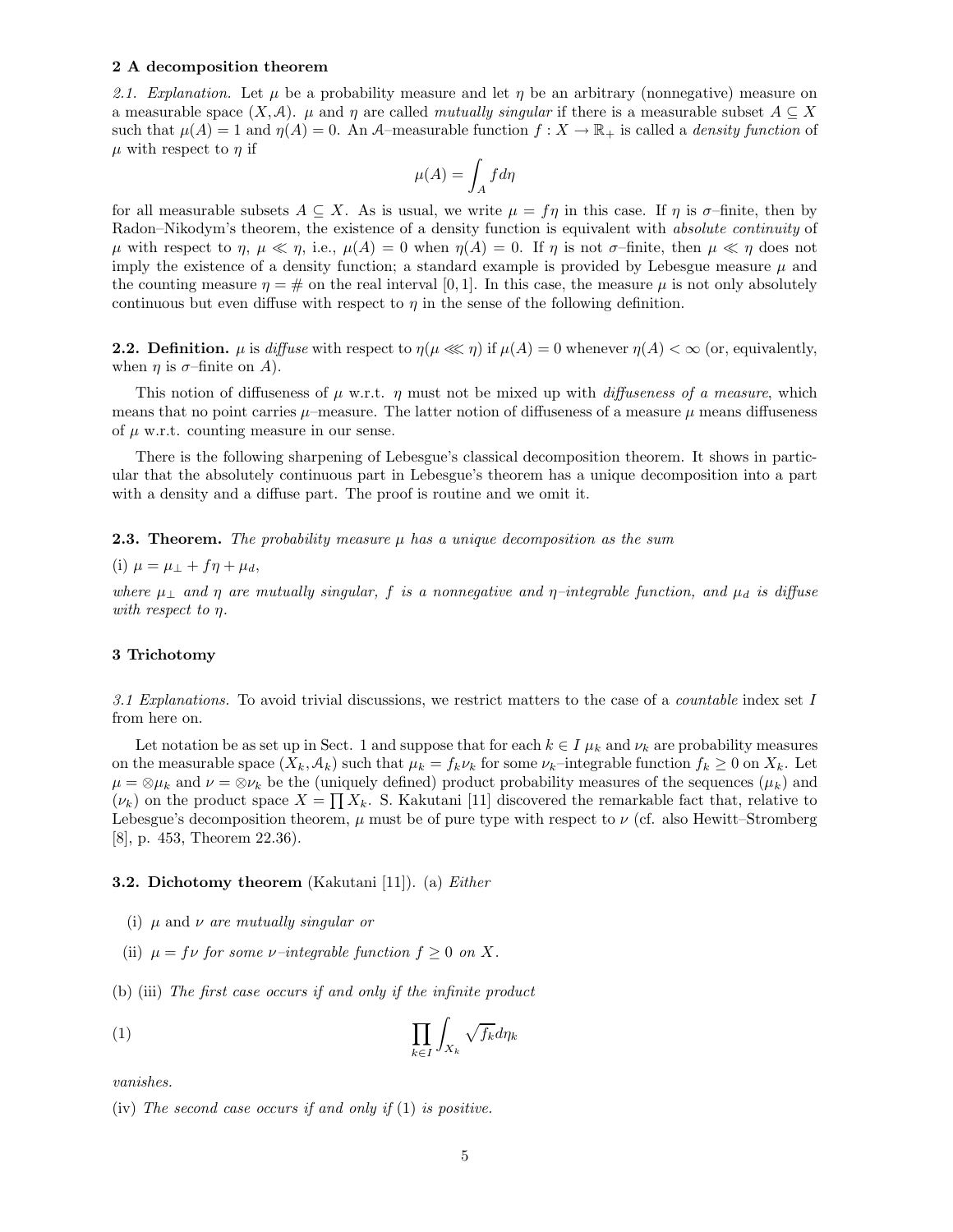#### 2 A decomposition theorem

2.1. Explanation. Let  $\mu$  be a probability measure and let  $\eta$  be an arbitrary (nonnegative) measure on a measurable space  $(X, \mathcal{A})$ .  $\mu$  and  $\eta$  are called mutually singular if there is a measurable subset  $A \subseteq X$ such that  $\mu(A) = 1$  and  $\eta(A) = 0$ . An A–measurable function  $f: X \to \mathbb{R}_+$  is called a *density function* of  $\mu$  with respect to  $\eta$  if

$$
\mu(A) = \int_A f d\eta
$$

for all measurable subsets  $A \subseteq X$ . As is usual, we write  $\mu = f\eta$  in this case. If  $\eta$  is  $\sigma$ -finite, then by Radon–Nikodym's theorem, the existence of a density function is equivalent with *absolute continuity* of  $\mu$  with respect to  $\eta$ ,  $\mu \ll \eta$ , i.e.,  $\mu(A) = 0$  when  $\eta(A) = 0$ . If  $\eta$  is not  $\sigma$ -finite, then  $\mu \ll \eta$  does not imply the existence of a density function; a standard example is provided by Lebesgue measure  $\mu$  and the counting measure  $\eta = \#$  on the real interval [0, 1]. In this case, the measure  $\mu$  is not only absolutely continuous but even diffuse with respect to  $\eta$  in the sense of the following definition.

**2.2. Definition.**  $\mu$  is diffuse with respect to  $\eta(\mu \lll \eta)$  if  $\mu(A) = 0$  whenever  $\eta(A) < \infty$  (or, equivalently, when  $\eta$  is  $\sigma$ -finite on A).

This notion of diffuseness of  $\mu$  w.r.t.  $\eta$  must not be mixed up with *diffuseness of a measure*, which means that no point carries  $\mu$ –measure. The latter notion of diffuseness of a measure  $\mu$  means diffuseness of  $\mu$  w.r.t. counting measure in our sense.

There is the following sharpening of Lebesgue's classical decomposition theorem. It shows in particular that the absolutely continuous part in Lebesgue's theorem has a unique decomposition into a part with a density and a diffuse part. The proof is routine and we omit it.

**2.3. Theorem.** The probability measure  $\mu$  has a unique decomposition as the sum

(i)  $\mu = \mu_{\perp} + f\eta + \mu_d$ ,

where  $\mu_{\perp}$  and  $\eta$  are mutually singular, f is a nonnegative and  $\eta$ -integrable function, and  $\mu_d$  is diffuse with respect to  $\eta$ .

#### 3 Trichotomy

3.1 Explanations. To avoid trivial discussions, we restrict matters to the case of a *countable* index set  $I$ from here on.

Let notation be as set up in Sect. 1 and suppose that for each  $k \in I$   $\mu_k$  and  $\nu_k$  are probability measures on the measurable space  $(X_k, \mathcal{A}_k)$  such that  $\mu_k = f_k \nu_k$  for some  $\nu_k$ –integrable function  $f_k \geq 0$  on  $X_k$ . Let  $\mu = \otimes \mu_k$  and  $\nu = \otimes \nu_k$  be the (uniquely defined) product probability measures of the sequences  $(\mu_k)$  and  $(\nu_k)$  on the product space  $X = \prod X_k$ . S. Kakutani [11] discovered the remarkable fact that, relative to Lebesgue's decomposition theorem,  $\mu$  must be of pure type with respect to  $\nu$  (cf. also Hewitt–Stromberg [8], p. 453, Theorem 22.36).

#### 3.2. Dichotomy theorem (Kakutani [11]). (a) Either

- (i)  $\mu$  and  $\nu$  are mutually singular or
- (ii)  $\mu = f \nu$  for some *v*–integrable function  $f \geq 0$  on X.
- (b) (iii) The first case occurs if and only if the infinite product

$$
(1) \qquad \prod_{k \in I} \int_{X_k} \sqrt{f_k} d\eta_k
$$

vanishes.

<sup>(</sup>iv) The second case occurs if and only if  $(1)$  is positive.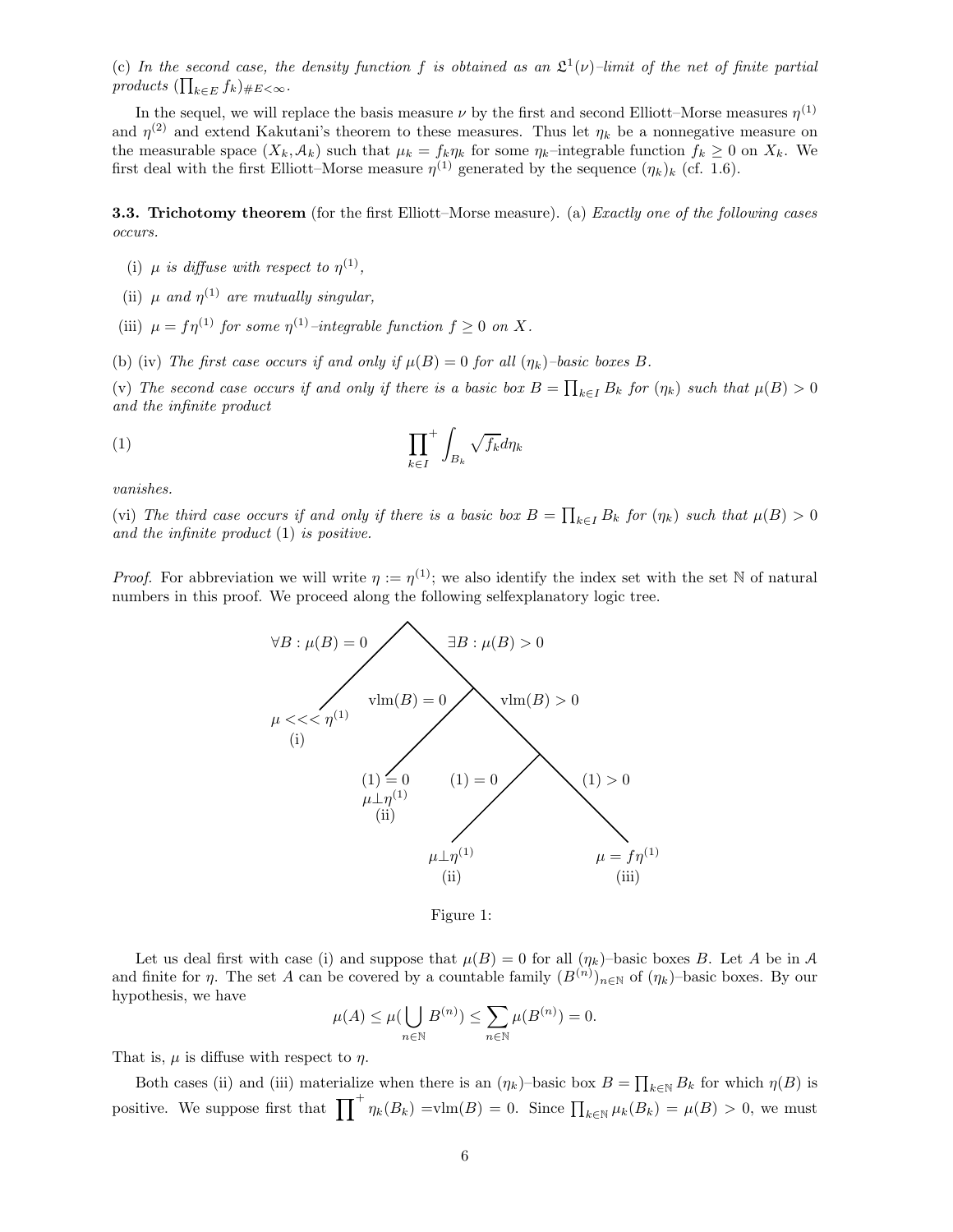(c) In the second case, the density function f is obtained as an  $\mathfrak{L}^1(\nu)$ -limit of the net of finite partial products  $(\prod_{k\in E} f_k)_{\#E<\infty}$ .

In the sequel, we will replace the basis measure  $\nu$  by the first and second Elliott–Morse measures  $\eta^{(1)}$ and  $\eta^{(2)}$  and extend Kakutani's theorem to these measures. Thus let  $\eta_k$  be a nonnegative measure on the measurable space  $(X_k, \mathcal{A}_k)$  such that  $\mu_k = f_k \eta_k$  for some  $\eta_k$ –integrable function  $f_k \geq 0$  on  $X_k$ . We first deal with the first Elliott–Morse measure  $\eta^{(1)}$  generated by the sequence  $(\eta_k)_k$  (cf. 1.6).

**3.3. Trichotomy theorem** (for the first Elliott–Morse measure). (a) *Exactly one of the following cases* occurs.

- (i)  $\mu$  is diffuse with respect to  $\eta^{(1)}$ ,
- (ii)  $\mu$  and  $\eta^{(1)}$  are mutually singular,
- (iii)  $\mu = f\eta^{(1)}$  for some  $\eta^{(1)}$ -integrable function  $f \geq 0$  on X.

(b) (iv) The first case occurs if and only if  $\mu(B) = 0$  for all  $(\eta_k)$ -basic boxes B.

(v) The second case occurs if and only if there is a basic box  $B = \prod_{k \in I} B_k$  for  $(\eta_k)$  such that  $\mu(B) > 0$ and the infinite product

$$
(1) \qquad \prod_{k \in I}^+ \int_{B_k} \sqrt{f_k} d\eta_k
$$

vanishes.

(vi) The third case occurs if and only if there is a basic box  $B = \prod_{k \in I} B_k$  for  $(\eta_k)$  such that  $\mu(B) > 0$ and the infinite product  $(1)$  is positive.

*Proof.* For abbreviation we will write  $\eta := \eta^{(1)}$ ; we also identify the index set with the set N of natural numbers in this proof. We proceed along the following selfexplanatory logic tree.



Figure 1:

Let us deal first with case (i) and suppose that  $\mu(B) = 0$  for all  $(\eta_k)$ -basic boxes B. Let A be in A and finite for  $\eta$ . The set A can be covered by a countable family  $(B^{(n)})_{n\in\mathbb{N}}$  of  $(\eta_k)$ -basic boxes. By our hypothesis, we have

$$
\mu(A) \le \mu\left(\bigcup_{n \in \mathbb{N}} B^{(n)}\right) \le \sum_{n \in \mathbb{N}} \mu(B^{(n)}) = 0.
$$

That is,  $\mu$  is diffuse with respect to  $\eta$ .

Both cases (ii) and (iii) materialize when there is an  $(\eta_k)$ -basic box  $B = \prod_{k \in \mathbb{N}} B_k$  for which  $\eta(B)$  is positive. We suppose first that  $\prod^{+} \eta_k(B_k) = \text{vlm}(B) = 0$ . Since  $\prod_{k \in \mathbb{N}} \mu_k(B_k) = \mu(B) > 0$ , we must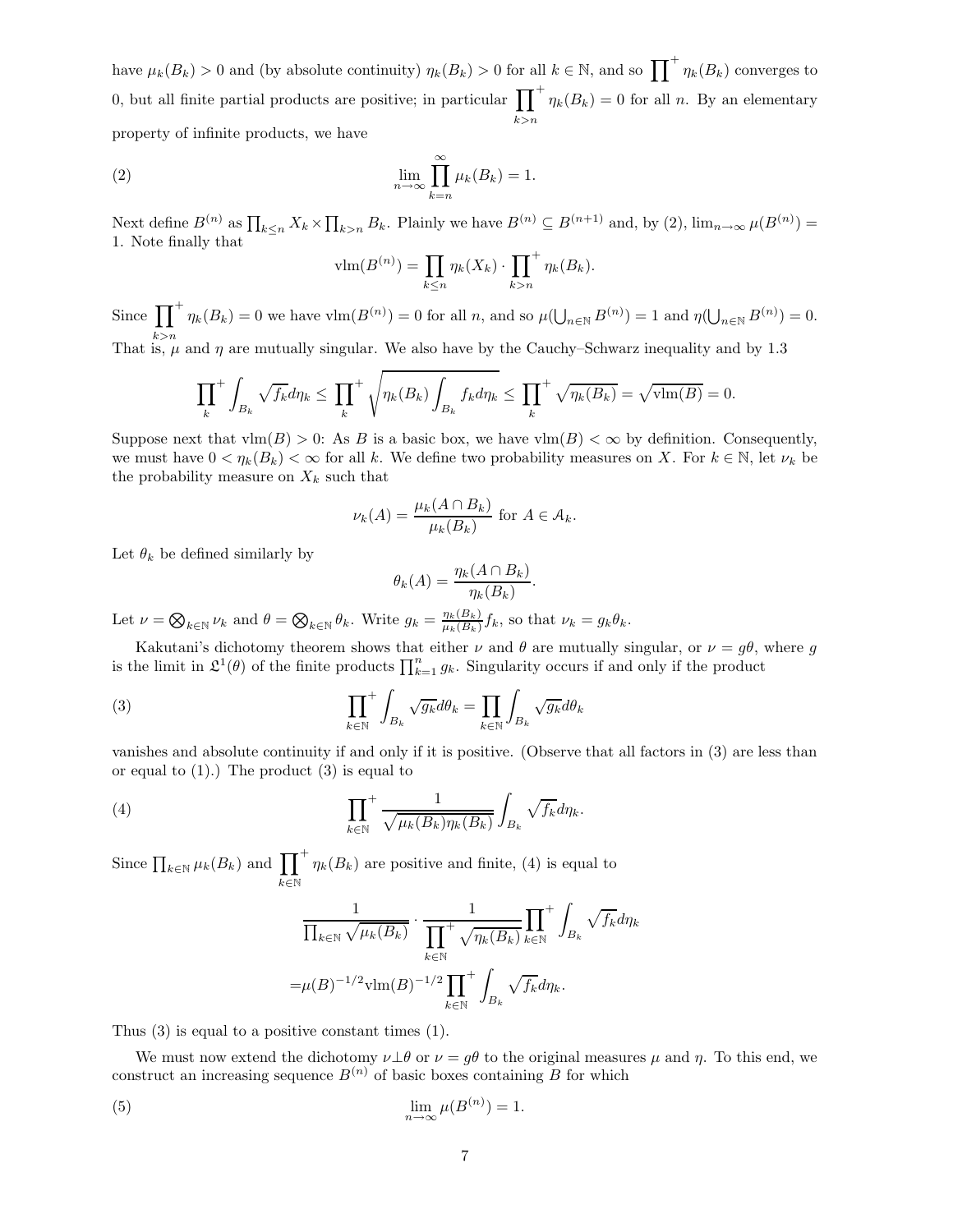have  $\mu_k(B_k) > 0$  and (by absolute continuity)  $\eta_k(B_k) > 0$  for all  $k \in \mathbb{N}$ , and so  $\prod_{k} + \eta_k(B_k)$  converges to 0, but all finite partial products are positive; in particular  $\prod^{+}$  $_{k>n}$  $\eta_k(B_k) = 0$  for all n. By an elementary property of infinite products, we have

(2) 
$$
\lim_{n \to \infty} \prod_{k=n}^{\infty} \mu_k(B_k) = 1.
$$

Next define  $B^{(n)}$  as  $\prod_{k\leq n} X_k \times \prod_{k>n} B_k$ . Plainly we have  $B^{(n)} \subseteq B^{(n+1)}$  and, by (2),  $\lim_{n\to\infty} \mu(B^{(n)}) =$ 1. Note finally that

$$
\text{vlm}(B^{(n)}) = \prod_{k \leq n} \eta_k(X_k) \cdot \prod_{k > n}^+ \eta_k(B_k).
$$

Since  $\prod^+ \eta_k(B_k) = 0$  we have  $\text{vlm}(B^{(n)}) = 0$  for all n, and so  $\mu(\bigcup_{n \in \mathbb{N}} B^{(n)}) = 1$  and  $\eta(\bigcup_{n \in \mathbb{N}} B^{(n)}) = 0$ . That is,  $\mu$  and  $\eta$  are mutually singular. We also have by the Cauchy–Schwarz inequality and by 1.3

$$
\prod_{k}^{+} \int_{B_k} \sqrt{f_k} d\eta_k \le \prod_{k}^{+} \sqrt{\eta_k(B_k) \int_{B_k} f_k d\eta_k} \le \prod_{k}^{+} \sqrt{\eta_k(B_k)} = \sqrt{\text{vlm}(B)} = 0.
$$

Suppose next that  $\text{vlm}(B) > 0$ : As B is a basic box, we have  $\text{vlm}(B) < \infty$  by definition. Consequently, we must have  $0 < \eta_k(B_k) < \infty$  for all k. We define two probability measures on X. For  $k \in \mathbb{N}$ , let  $\nu_k$  be the probability measure on  $X_k$  such that

$$
\nu_k(A) = \frac{\mu_k(A \cap B_k)}{\mu_k(B_k)} \text{ for } A \in \mathcal{A}_k.
$$

Let  $\theta_k$  be defined similarly by

$$
\theta_k(A) = \frac{\eta_k(A \cap B_k)}{\eta_k(B_k)}.
$$

Let  $\nu = \bigotimes_{k \in \mathbb{N}} \nu_k$  and  $\theta = \bigotimes_{k \in \mathbb{N}} \theta_k$ . Write  $g_k = \frac{\eta_k(B_k)}{\mu_k(B_k)}$  $\frac{\eta_k(B_k)}{\mu_k(B_k)}f_k$ , so that  $\nu_k = g_k\theta_k$ .

Kakutani's dichotomy theorem shows that either  $\nu$  and  $\theta$  are mutually singular, or  $\nu = g\theta$ , where g is the limit in  $\mathcal{L}^1(\theta)$  of the finite products  $\prod_{k=1}^n g_k$ . Singularity occurs if and only if the product

(3) 
$$
\prod_{k \in \mathbb{N}}^{+} \int_{B_k} \sqrt{g_k} d\theta_k = \prod_{k \in \mathbb{N}} \int_{B_k} \sqrt{g_k} d\theta_k
$$

vanishes and absolute continuity if and only if it is positive. (Observe that all factors in (3) are less than or equal to  $(1)$ .) The product  $(3)$  is equal to

(4) 
$$
\prod_{k \in \mathbb{N}}^{+} \frac{1}{\sqrt{\mu_k(B_k)\eta_k(B_k)}} \int_{B_k} \sqrt{f_k} d\eta_k.
$$

Since  $\prod_{k\in\mathbb{N}}\mu_k(B_k)$  and  $\prod^+$  $k\in\mathbb{N}$  $\eta_k(B_k)$  are positive and finite, (4) is equal to

$$
\frac{1}{\prod_{k\in\mathbb{N}}\sqrt{\mu_k(B_k)}} \cdot \frac{1}{\prod_{k\in\mathbb{N}}^+\sqrt{\eta_k(B_k)}} \prod_{k\in\mathbb{N}}^+\int_{B_k} \sqrt{f_k} d\eta_k
$$

$$
=\mu(B)^{-1/2} \nu \text{Im}(B)^{-1/2} \prod_{k\in\mathbb{N}}^+\int_{B_k} \sqrt{f_k} d\eta_k.
$$

Thus (3) is equal to a positive constant times (1).

We must now extend the dichotomy  $\nu \perp \theta$  or  $\nu = g\theta$  to the original measures  $\mu$  and  $\eta$ . To this end, we construct an increasing sequence  $B^{(n)}$  of basic boxes containing B for which

(5) 
$$
\lim_{n \to \infty} \mu(B^{(n)}) = 1.
$$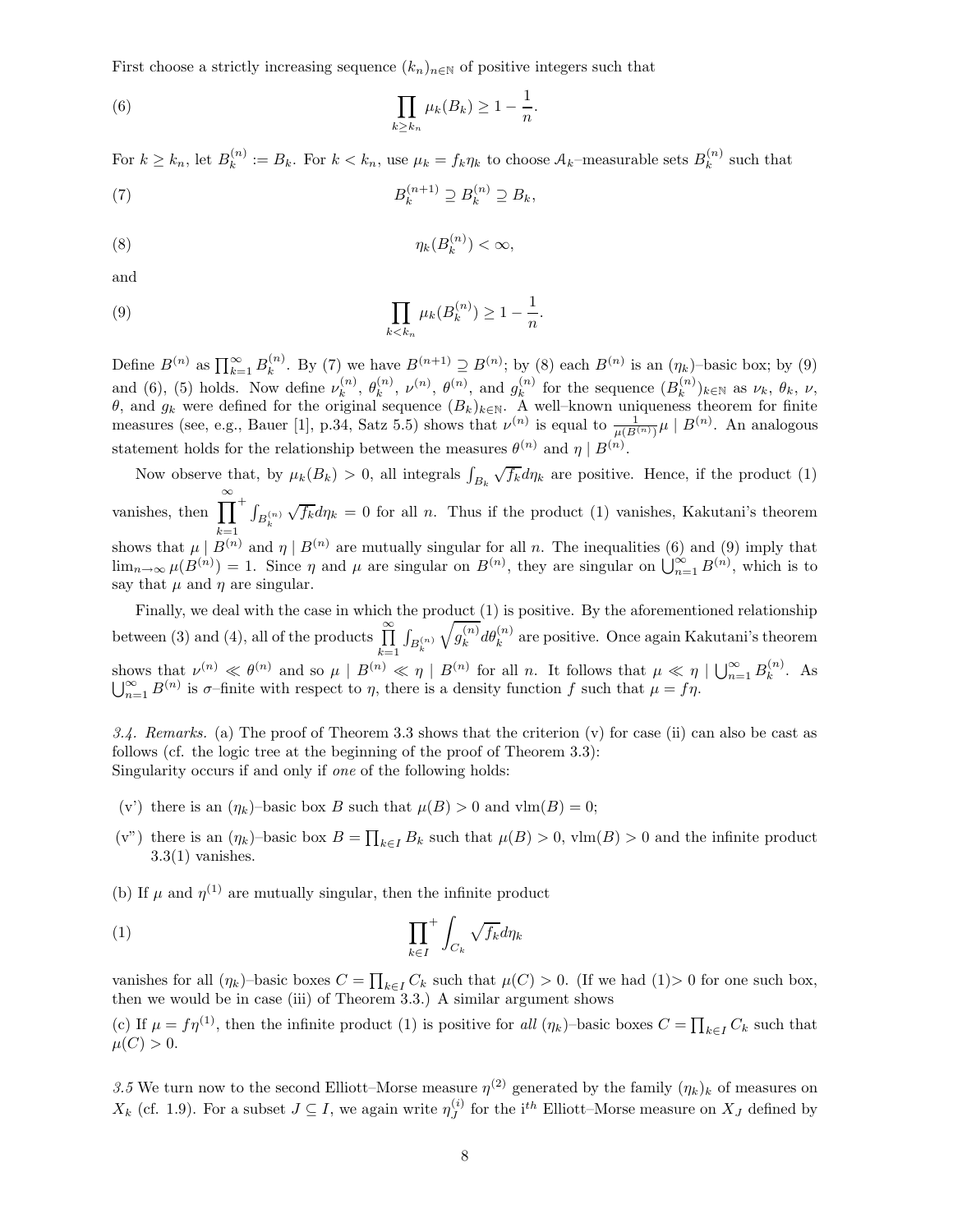First choose a strictly increasing sequence  $(k_n)_{n\in\mathbb{N}}$  of positive integers such that

(6) 
$$
\prod_{k\geq k_n}\mu_k(B_k)\geq 1-\frac{1}{n}.
$$

For  $k \geq k_n$ , let  $B_k^{(n)}$  $k_k^{(n)} := B_k$ . For  $k < k_n$ , use  $\mu_k = f_k \eta_k$  to choose  $A_k$ -measurable sets  $B_k^{(n)}$ .  $k^{(n)}$  such that

$$
(7) \tB_k^{(n+1)} \supseteq B_k^{(n)} \supseteq B_k,
$$

$$
(8) \t\t \eta_k(B_k^{(n)}) < \infty,
$$

and

(9) 
$$
\prod_{k < k_n} \mu_k(B_k^{(n)}) \ge 1 - \frac{1}{n}.
$$

Define  $B^{(n)}$  as  $\prod_{k=1}^{\infty} B_k^{(n)}$ <sup>(n)</sup>. By (7) we have  $B^{(n+1)} \supseteq B^{(n)}$ ; by (8) each  $B^{(n)}$  is an  $(\eta_k)$ -basic box; by (9) and (6), (5) holds. Now define  $\nu_k^{(n)}$  $\theta_k^{(n)}, \ \theta_k^{(n)}$  $\binom{n}{k}$ ,  $\nu^{(n)}$ ,  $\theta^{(n)}$ , and  $g_k^{(n)}$  $\binom{n}{k}$  for the sequence  $(B_k^{(n)})$  $\binom{n}{k}$ <sub>k</sub> $\in \mathbb{N}$  as  $\nu_k$ ,  $\theta_k$ ,  $\nu$ , θ, and  $g_k$  were defined for the original sequence  $(B_k)_{k\in\mathbb{N}}$ . A well–known uniqueness theorem for finite measures (see, e.g., Bauer [1], p.34, Satz 5.5) shows that  $\nu^{(n)}$  is equal to  $\frac{1}{\mu(B^{(n)})}\mu \mid B^{(n)}$ . An analogous statement holds for the relationship between the measures  $\theta^{(n)}$  and  $\eta \mid B^{(n)}$ .

Now observe that, by  $\mu_k(B_k) > 0$ , all integrals  $\int_{B_k} \sqrt{f_k} d\eta_k$  are positive. Hence, if the product (1) vanishes, then  $\prod^{\infty}$  +  $\int_{B_k^{(n)}}$ shows that  $\mu \mid B^{(n)}$  and  $\eta \mid B^{(n)}$  are mutually singular for all n. The inequalities (6) and (9) imply that  $\sqrt{f_k}d\eta_k = 0$  for all n. Thus if the product (1) vanishes, Kakutani's theorem  $\lim_{n\to\infty}\mu(B^{(n)})=1$ . Since  $\eta$  and  $\mu$  are singular on  $B^{(n)}$ , they are singular on  $\bigcup_{n=1}^{\infty}B^{(n)}$ , which is to say that  $\mu$  and  $\eta$  are singular.

Finally, we deal with the case in which the product (1) is positive. By the aforementioned relationship between (3) and (4), all of the products  $\prod^{\infty}$  $k=1$  $\int_{B_k^{(n)}}$  $\sqrt{g_k^{(n)}}$  $\binom{n}{k} d\theta_k^{(n)}$  are positive. Once again Kakutani's theorem shows that  $\nu^{(n)} \ll \theta^{(n)}$  and so  $\mu \mid B^{(n)} \ll \eta \mid B^{(n)}$  for all n. It follows that  $\mu \ll \eta \mid \bigcup_{n=1}^{\infty} B_k^{(n)}$  $\kappa^{(n)}$ . As  $\bigcup_{n=1}^{\infty} B^{(n)}$  is  $\sigma$ -finite with respect to  $\eta$ , there is a density function f such that  $\mu = f\eta$ .

3.4. Remarks. (a) The proof of Theorem 3.3 shows that the criterion  $(v)$  for case (ii) can also be cast as follows (cf. the logic tree at the beginning of the proof of Theorem 3.3): Singularity occurs if and only if one of the following holds:

- (v') there is an  $(\eta_k)$ –basic box B such that  $\mu(B) > 0$  and  $\text{vlm}(B) = 0$ ;
- (v") there is an  $(\eta_k)$ -basic box  $B = \prod_{k \in I} B_k$  such that  $\mu(B) > 0$ , vlm $(B) > 0$  and the infinite product  $3.3(1)$  vanishes.
- (b) If  $\mu$  and  $\eta^{(1)}$  are mutually singular, then the infinite product

$$
(1) \qquad \prod_{k \in I}^+ \int_{C_k} \sqrt{f_k} d\eta_k
$$

vanishes for all  $(\eta_k)$ –basic boxes  $C = \prod_{k \in I} C_k$  such that  $\mu(C) > 0$ . (If we had  $(1) > 0$  for one such box, then we would be in case (iii) of Theorem 3.3.) A similar argument shows

(c) If  $\mu = f\eta^{(1)}$ , then the infinite product (1) is positive for all  $(\eta_k)$ -basic boxes  $C = \prod_{k \in I} C_k$  such that  $\mu(C) > 0.$ 

3.5 We turn now to the second Elliott–Morse measure  $\eta^{(2)}$  generated by the family  $(\eta_k)_k$  of measures on  $X_k$  (cf. 1.9). For a subset  $J \subseteq I$ , we again write  $\eta_J^{(i)}$  $J_J^{(i)}$  for the i<sup>th</sup> Elliott–Morse measure on  $X_J$  defined by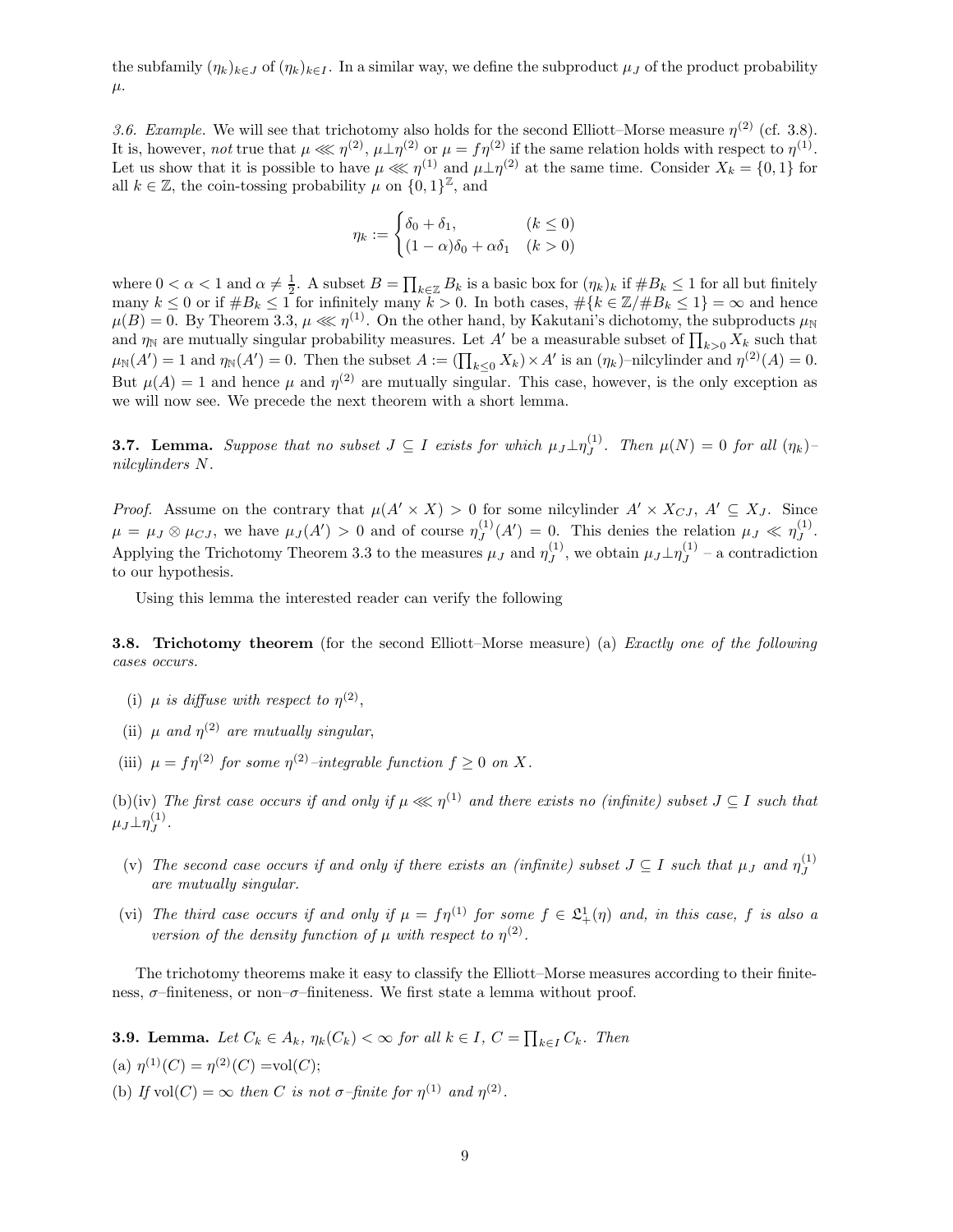the subfamily  $(\eta_k)_{k\in J}$  of  $(\eta_k)_{k\in I}$ . In a similar way, we define the subproduct  $\mu_J$  of the product probability  $\mu$ .

3.6. Example. We will see that trichotomy also holds for the second Elliott–Morse measure  $\eta^{(2)}$  (cf. 3.8). It is, however, not true that  $\mu \ll \eta^{(2)}$ ,  $\mu \perp \eta^{(2)}$  or  $\mu = f \eta^{(2)}$  if the same relation holds with respect to  $\eta^{(1)}$ . Let us show that it is possible to have  $\mu \ll \eta^{(1)}$  and  $\mu \perp \eta^{(2)}$  at the same time. Consider  $X_k = \{0, 1\}$  for all  $k \in \mathbb{Z}$ , the coin-tossing probability  $\mu$  on  $\{0, 1\}^{\mathbb{Z}}$ , and

$$
\eta_k := \begin{cases} \delta_0 + \delta_1, & (k \le 0) \\ (1 - \alpha)\delta_0 + \alpha \delta_1 & (k > 0) \end{cases}
$$

where  $0 < \alpha < 1$  and  $\alpha \neq \frac{1}{2}$ . A subset  $B = \prod_{k \in \mathbb{Z}} B_k$  is a basic box for  $(\eta_k)_k$  if  $\#B_k \leq 1$  for all but finitely many  $k \leq 0$  or if  $\#B_k \leq 1$  for infinitely many  $k > 0$ . In both cases,  $\#\{k \in \mathbb{Z}/\#B_k \leq 1\} = \infty$  and hence  $\mu(B) = 0$ . By Theorem 3.3,  $\mu \lll \eta^{(1)}$ . On the other hand, by Kakutani's dichotomy, the subproducts  $\mu_{\mathbb{N}}$ and  $\eta_{\mathbb{N}}$  are mutually singular probability measures. Let A' be a measurable subset of  $\prod_{k>0} X_k$  such that  $\mu_{\mathbb{N}}(A') = 1$  and  $\eta_{\mathbb{N}}(A') = 0$ . Then the subset  $A := (\prod_{k \leq 0} X_k) \times A'$  is an  $(\eta_k)$ -nilcylinder and  $\eta^{(2)}(A) = 0$ . But  $\mu(A) = 1$  and hence  $\mu$  and  $\eta^{(2)}$  are mutually singular. This case, however, is the only exception as we will now see. We precede the next theorem with a short lemma.

**3.7. Lemma.** Suppose that no subset  $J \subseteq I$  exists for which  $\mu_J \perp \eta_J^{(1)}$  $J_J^{(1)}$ . Then  $\mu(N) = 0$  for all  $(\eta_k)$ nilcylinders N.

*Proof.* Assume on the contrary that  $\mu(A' \times X) > 0$  for some nilcylinder  $A' \times X_{CJ}$ ,  $A' \subseteq X_J$ . Since  $\mu = \mu_J \otimes \mu_{CJ}$ , we have  $\mu_J(A') > 0$  and of course  $\eta_J^{(1)}$  $J_J^{(1)}(A') = 0$ . This denies the relation  $\mu_J \ll \eta_J^{(1)}$  $J^{(1)}$ . Applying the Trichotomy Theorem 3.3 to the measures  $\mu_J$  and  $\eta_J^{(1)}$  $J_J^{(1)}$ , we obtain  $\mu_J \perp \eta_J^{(1)}$  $J^{(1)}$  – a contradiction to our hypothesis.

Using this lemma the interested reader can verify the following

**3.8.** Trichotomy theorem (for the second Elliott–Morse measure) (a) *Exactly one of the following* cases occurs.

- (i)  $\mu$  is diffuse with respect to  $\eta^{(2)}$ ,
- (ii)  $\mu$  and  $\eta^{(2)}$  are mutually singular,
- (iii)  $\mu = f \eta^{(2)}$  for some  $\eta^{(2)}$ -integrable function  $f \geq 0$  on X.

(b)(iv) The first case occurs if and only if  $\mu \ll \eta^{(1)}$  and there exists no (infinite) subset  $J \subseteq I$  such that  $\mu_J\bot\eta^{(1)}_J$  $J^{\left(1\right)}$  .

- (v) The second case occurs if and only if there exists an (infinite) subset  $J \subseteq I$  such that  $\mu_J$  and  $\eta_J^{(1)}$ J are mutually singular.
- (vi) The third case occurs if and only if  $\mu = f\eta^{(1)}$  for some  $f \in \mathfrak{L}^1_+(\eta)$  and, in this case, f is also a version of the density function of  $\mu$  with respect to  $\eta^{(2)}$ .

The trichotomy theorems make it easy to classify the Elliott–Morse measures according to their finiteness,  $\sigma$ -finiteness, or non– $\sigma$ -finiteness. We first state a lemma without proof.

**3.9. Lemma.** Let  $C_k \in A_k$ ,  $\eta_k(C_k) < \infty$  for all  $k \in I$ ,  $C = \prod_{k \in I} C_k$ . Then (a)  $\eta^{(1)}(C) = \eta^{(2)}(C) = \text{vol}(C);$ (b) If  $vol(C) = \infty$  then C is not  $\sigma$ -finite for  $\eta^{(1)}$  and  $\eta^{(2)}$ .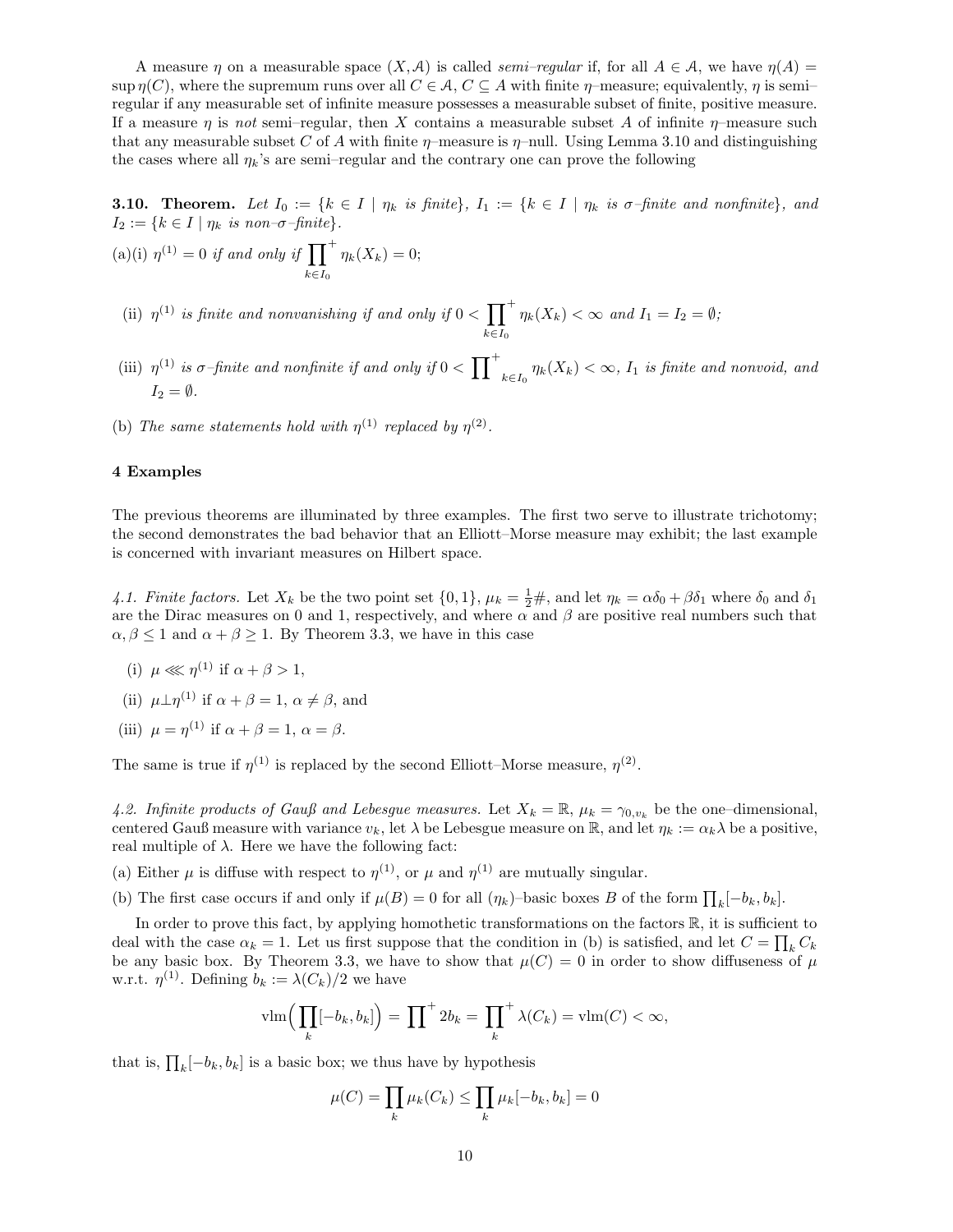A measure  $\eta$  on a measurable space  $(X, \mathcal{A})$  is called *semi–regular* if, for all  $A \in \mathcal{A}$ , we have  $\eta(A)$ sup  $\eta(C)$ , where the supremum runs over all  $C \in \mathcal{A}$ ,  $C \subseteq A$  with finite  $\eta$ -measure; equivalently,  $\eta$  is semiregular if any measurable set of infinite measure possesses a measurable subset of finite, positive measure. If a measure  $\eta$  is not semi–regular, then X contains a measurable subset A of infinite  $\eta$ –measure such that any measurable subset C of A with finite  $\eta$ –measure is  $\eta$ –null. Using Lemma 3.10 and distinguishing the cases where all  $\eta_k$ 's are semi–regular and the contrary one can prove the following

**3.10. Theorem.** Let  $I_0 := \{k \in I \mid \eta_k \text{ is finite}\}, I_1 := \{k \in I \mid \eta_k \text{ is } \sigma\text{-finite and nonfinite}\}, and$  $I_2 := \{k \in I \mid \eta_k \text{ is non--}\sigma\text{-finite}\}.$ 

(a)(i) 
$$
\eta^{(1)} = 0
$$
 if and only if  $\prod_{k \in I_0}^+ \eta_k(X_k) = 0;$ 

(ii)  $\eta^{(1)}$  is finite and nonvanishing if and only if  $0 < \prod^{+}$  $k \in I_0$  $\eta_k(X_k) < \infty$  and  $I_1 = I_2 = \emptyset$ ;

(iii)  $\eta^{(1)}$  is  $\sigma$ -finite and nonfinite if and only if  $0 < \prod^{+}$  $\eta_k(X_k) < \infty$ ,  $I_1$  is finite and nonvoid, and  $I_2 = \emptyset$ .

(b) The same statements hold with  $\eta^{(1)}$  replaced by  $\eta^{(2)}$ .

# 4 Examples

The previous theorems are illuminated by three examples. The first two serve to illustrate trichotomy; the second demonstrates the bad behavior that an Elliott–Morse measure may exhibit; the last example is concerned with invariant measures on Hilbert space.

4.1. Finite factors. Let  $X_k$  be the two point set  $\{0,1\}$ ,  $\mu_k = \frac{1}{2} \#$ , and let  $\eta_k = \alpha \delta_0 + \beta \delta_1$  where  $\delta_0$  and  $\delta_1$ are the Dirac measures on 0 and 1, respectively, and where  $\alpha$  and  $\beta$  are positive real numbers such that  $\alpha, \beta \leq 1$  and  $\alpha + \beta \geq 1$ . By Theorem 3.3, we have in this case

- (i)  $\mu \ll \eta^{(1)}$  if  $\alpha + \beta > 1$ ,
- (ii)  $\mu \perp \eta^{(1)}$  if  $\alpha + \beta = 1$ ,  $\alpha \neq \beta$ , and
- (iii)  $\mu = \eta^{(1)}$  if  $\alpha + \beta = 1$ ,  $\alpha = \beta$ .

The same is true if  $\eta^{(1)}$  is replaced by the second Elliott–Morse measure,  $\eta^{(2)}$ .

4.2. Infinite products of Gauß and Lebesgue measures. Let  $X_k = \mathbb{R}$ ,  $\mu_k = \gamma_{0,v_k}$  be the one-dimensional, centered Gauß measure with variance  $v_k$ , let  $\lambda$  be Lebesgue measure on R, and let  $\eta_k := \alpha_k \lambda$  be a positive, real multiple of  $\lambda$ . Here we have the following fact:

- (a) Either  $\mu$  is diffuse with respect to  $\eta^{(1)}$ , or  $\mu$  and  $\eta^{(1)}$  are mutually singular.
- (b) The first case occurs if and only if  $\mu(B) = 0$  for all  $(\eta_k)$ -basic boxes B of the form  $\prod_k [-b_k, b_k]$ .

In order to prove this fact, by applying homothetic transformations on the factors  $\mathbb{R}$ , it is sufficient to deal with the case  $\alpha_k = 1$ . Let us first suppose that the condition in (b) is satisfied, and let  $C = \prod_k C_k$ be any basic box. By Theorem 3.3, we have to show that  $\mu(C) = 0$  in order to show diffuseness of  $\mu$ w.r.t.  $\eta^{(1)}$ . Defining  $b_k := \lambda(C_k)/2$  we have

$$
\operatorname{vlm}\Big(\prod_{k}[-b_{k},b_{k}]\Big)=\prod^{+}2b_{k}=\prod_{k}^{+}\lambda(C_{k})=\operatorname{vlm}(C)<\infty,
$$

that is,  $\prod_k [-b_k, b_k]$  is a basic box; we thus have by hypothesis

$$
\mu(C) = \prod_k \mu_k(C_k) \le \prod_k \mu_k[-b_k, b_k] = 0
$$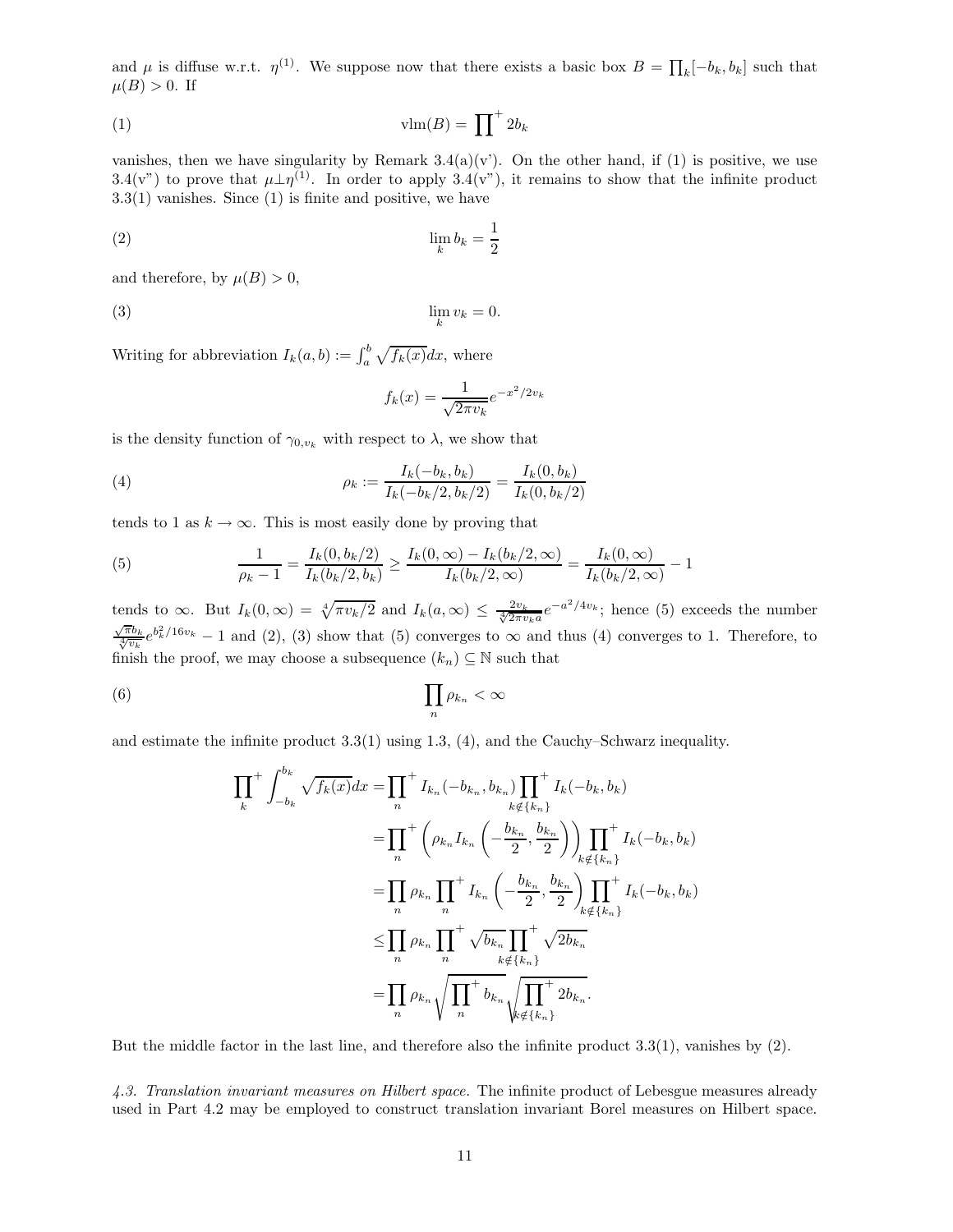and  $\mu$  is diffuse w.r.t.  $\eta^{(1)}$ . We suppose now that there exists a basic box  $B = \prod_k [-b_k, b_k]$  such that  $\mu(B) > 0$ . If

$$
\text{vlm}(B) = \prod^{+} 2b_k
$$

vanishes, then we have singularity by Remark  $3.4(a)(v')$ . On the other hand, if (1) is positive, we use 3.4(v") to prove that  $\mu \perp \eta^{(1)}$ . In order to apply 3.4(v"), it remains to show that the infinite product  $3.3(1)$  vanishes. Since  $(1)$  is finite and positive, we have

$$
\lim_{k} b_k = \frac{1}{2}
$$

and therefore, by  $\mu(B) > 0$ ,

$$
\lim_{k} v_k = 0.
$$

Writing for abbreviation  $I_k(a, b) := \int_a^b \sqrt{f_k(x)} dx$ , where

$$
f_k(x) = \frac{1}{\sqrt{2\pi v_k}} e^{-x^2/2v_k}
$$

is the density function of  $\gamma_{0,v_k}$  with respect to  $\lambda$ , we show that

(4) 
$$
\rho_k := \frac{I_k(-b_k, b_k)}{I_k(-b_k/2, b_k/2)} = \frac{I_k(0, b_k)}{I_k(0, b_k/2)}
$$

tends to 1 as  $k \to \infty$ . This is most easily done by proving that

(5) 
$$
\frac{1}{\rho_k - 1} = \frac{I_k(0, b_k/2)}{I_k(b_k/2, b_k)} \ge \frac{I_k(0, \infty) - I_k(b_k/2, \infty)}{I_k(b_k/2, \infty)} = \frac{I_k(0, \infty)}{I_k(b_k/2, \infty)} - 1
$$

tends to  $\infty$ . But  $I_k(0,\infty) = \sqrt[4]{\pi v_k/2}$  and  $I_k(a,\infty) \le \frac{2v_k}{\sqrt[4]{2\pi v_k a}} e^{-a^2/4v_k}$ ; hence (5) exceeds the number  $\frac{\sqrt{\pi}b_k}{\sqrt[4]{v_k}}e^{b_k^2/16v_k}-1$  and (2), (3) show that (5) converges to  $\infty$  and thus (4) converges to 1. Therefore, to finish the proof, we may choose a subsequence  $(k_n) \subseteq \mathbb{N}$  such that

$$
(6) \qquad \prod_{n} \rho_{k_n} < \infty
$$

and estimate the infinite product 3.3(1) using 1.3, (4), and the Cauchy–Schwarz inequality.

$$
\prod_{k}^{+} \int_{-b_{k}}^{b_{k}} \sqrt{f_{k}(x)} dx = \prod_{n}^{+} I_{k_{n}}(-b_{k_{n}}, b_{k_{n}}) \prod_{k \notin \{k_{n}\}}^{+} I_{k}(-b_{k}, b_{k})
$$
\n
$$
= \prod_{n}^{+} \left( \rho_{k_{n}} I_{k_{n}} \left( -\frac{b_{k_{n}}}{2}, \frac{b_{k_{n}}}{2} \right) \right) \prod_{k \notin \{k_{n}\}}^{+} I_{k}(-b_{k}, b_{k})
$$
\n
$$
= \prod_{n} \rho_{k_{n}} \prod_{n}^{+} I_{k_{n}} \left( -\frac{b_{k_{n}}}{2}, \frac{b_{k_{n}}}{2} \right) \prod_{k \notin \{k_{n}\}}^{+} I_{k}(-b_{k}, b_{k})
$$
\n
$$
\leq \prod_{n} \rho_{k_{n}} \prod_{n}^{+} \sqrt{b_{k_{n}}} \prod_{k \notin \{k_{n}\}}^{+} \sqrt{2b_{k_{n}}}
$$
\n
$$
= \prod_{n} \rho_{k_{n}} \sqrt{\prod_{n}^{+} b_{k_{n}}} \sqrt{\prod_{k \notin \{k_{n}\}}^{+} 2b_{k_{n}}}.
$$

But the middle factor in the last line, and therefore also the infinite product 3.3(1), vanishes by (2).

4.3. Translation invariant measures on Hilbert space. The infinite product of Lebesgue measures already used in Part 4.2 may be employed to construct translation invariant Borel measures on Hilbert space.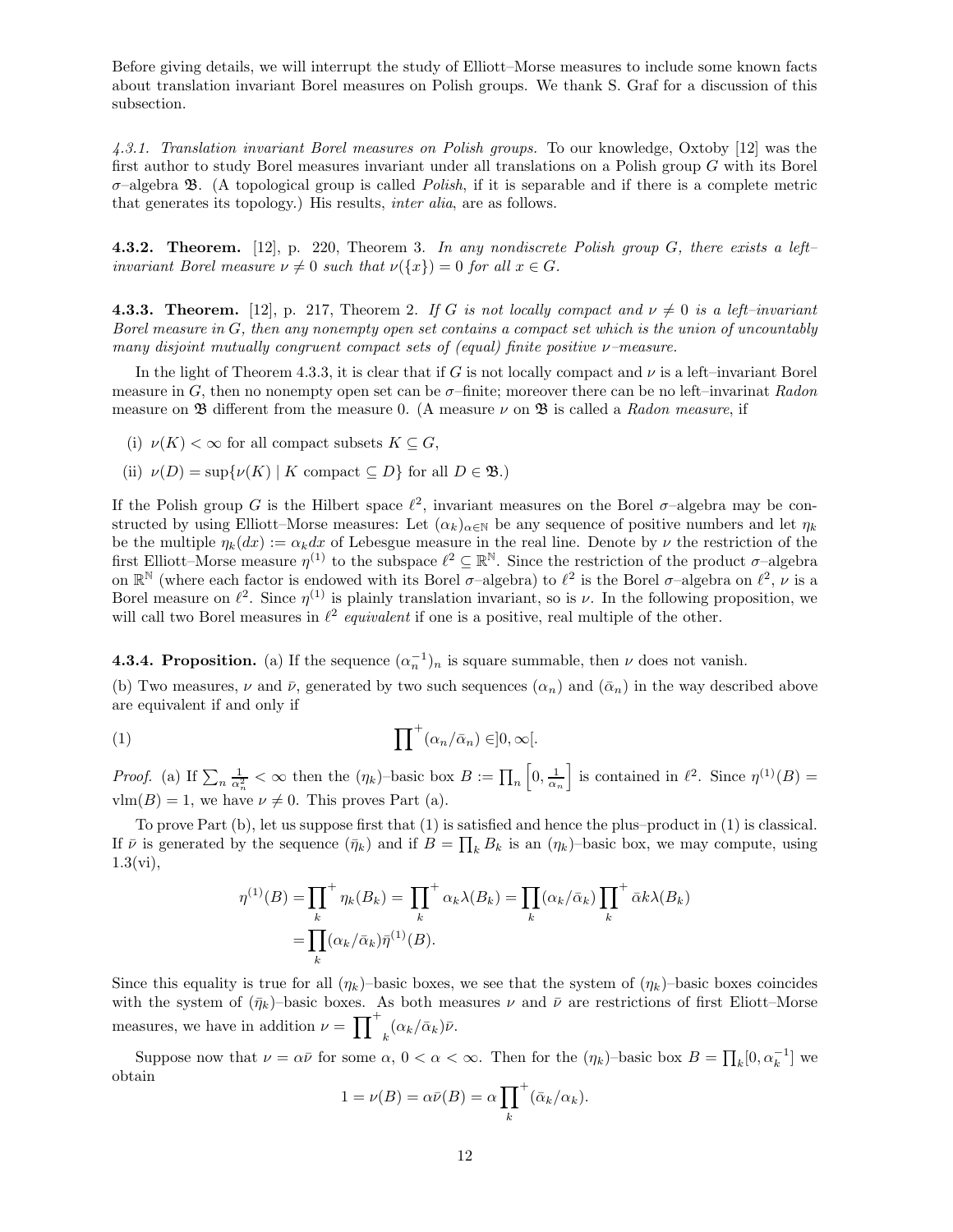Before giving details, we will interrupt the study of Elliott–Morse measures to include some known facts about translation invariant Borel measures on Polish groups. We thank S. Graf for a discussion of this subsection.

4.3.1. Translation invariant Borel measures on Polish groups. To our knowledge, Oxtoby [12] was the first author to study Borel measures invariant under all translations on a Polish group G with its Borel  $\sigma$ –algebra  $\mathfrak{B}$ . (A topological group is called *Polish*, if it is separable and if there is a complete metric that generates its topology.) His results, inter alia, are as follows.

4.3.2. Theorem. [12], p. 220, Theorem 3. In any nondiscrete Polish group  $G$ , there exists a left– invariant Borel measure  $\nu \neq 0$  such that  $\nu({x}) = 0$  for all  $x \in G$ .

**4.3.3. Theorem.** [12], p. 217, Theorem 2. If G is not locally compact and  $\nu \neq 0$  is a left-invariant Borel measure in  $G$ , then any nonempty open set contains a compact set which is the union of uncountably many disjoint mutually congruent compact sets of (equal) finite positive  $\nu$ -measure.

In the light of Theorem 4.3.3, it is clear that if G is not locally compact and  $\nu$  is a left–invariant Borel measure in G, then no nonempty open set can be  $\sigma$ -finite; moreover there can be no left-invarinat Radon measure on  $\mathfrak B$  different from the measure 0. (A measure  $\nu$  on  $\mathfrak B$  is called a Radon measure, if

- (i)  $\nu(K) < \infty$  for all compact subsets  $K \subseteq G$ ,
- (ii)  $\nu(D) = \sup \{ \nu(K) \mid K \text{ compact } \subseteq D \}$  for all  $D \in \mathfrak{B}$ .)

If the Polish group G is the Hilbert space  $\ell^2$ , invariant measures on the Borel  $\sigma$ -algebra may be constructed by using Elliott–Morse measures: Let  $(\alpha_k)_{\alpha \in \mathbb{N}}$  be any sequence of positive numbers and let  $\eta_k$ be the multiple  $\eta_k(dx) := \alpha_k dx$  of Lebesgue measure in the real line. Denote by  $\nu$  the restriction of the first Elliott–Morse measure  $\eta^{(1)}$  to the subspace  $\ell^2 \subseteq \mathbb{R}^{\mathbb{N}}$ . Since the restriction of the product  $\sigma$ –algebra on  $\mathbb{R}^{\mathbb{N}}$  (where each factor is endowed with its Borel  $\sigma$ -algebra) to  $\ell^2$  is the Borel  $\sigma$ -algebra on  $\ell^2$ ,  $\nu$  is a Borel measure on  $\ell^2$ . Since  $\eta^{(1)}$  is plainly translation invariant, so is  $\nu$ . In the following proposition, we will call two Borel measures in  $\ell^2$  equivalent if one is a positive, real multiple of the other.

**4.3.4. Proposition.** (a) If the sequence  $(\alpha_n^{-1})_n$  is square summable, then  $\nu$  does not vanish.

(b) Two measures,  $\nu$  and  $\bar{\nu}$ , generated by two such sequences  $(\alpha_n)$  and  $(\bar{\alpha}_n)$  in the way described above are equivalent if and only if

(1) 
$$
\prod^{+} (\alpha_n/\bar{\alpha}_n) \in ]0,\infty[.
$$

*Proof.* (a) If  $\sum_n \frac{1}{\alpha_n^2} < \infty$  then the  $(\eta_k)$ -basic box  $B := \prod_n [0, \frac{1}{\alpha_n}]$  is contained in  $\ell^2$ . Since  $\eta^{(1)}(B) =$  $v \text{Im}(B) = 1$ , we have  $\nu \neq 0$ . This proves Part (a).

To prove Part (b), let us suppose first that (1) is satisfied and hence the plus–product in (1) is classical. If  $\bar{\nu}$  is generated by the sequence  $(\bar{\eta}_k)$  and if  $B = \prod_k B_k$  is an  $(\eta_k)$ -basic box, we may compute, using 1.3(vi),

$$
\eta^{(1)}(B) = \prod_{k}^{+} \eta_{k}(B_{k}) = \prod_{k}^{+} \alpha_{k}\lambda(B_{k}) = \prod_{k} (\alpha_{k}/\bar{\alpha}_{k}) \prod_{k}^{+} \bar{\alpha}k\lambda(B_{k})
$$

$$
= \prod_{k} (\alpha_{k}/\bar{\alpha}_{k}) \bar{\eta}^{(1)}(B).
$$

Since this equality is true for all  $(\eta_k)$ –basic boxes, we see that the system of  $(\eta_k)$ –basic boxes coincides with the system of  $(\bar{\eta}_k)$ –basic boxes. As both measures  $\nu$  and  $\bar{\nu}$  are restrictions of first Eliott–Morse measures, we have in addition  $\nu = \prod_{k}^{+} (\alpha_k / \bar{\alpha}_k) \bar{\nu}$ .

Suppose now that  $\nu = \alpha \bar{\nu}$  for some  $\alpha, 0 < \alpha < \infty$ . Then for the  $(\eta_k)$ -basic box  $B = \prod_k [0, \alpha_k^{-1}]$  we obtain

$$
1 = \nu(B) = \alpha \bar{\nu}(B) = \alpha \prod_{k}^{+} (\bar{\alpha}_{k}/\alpha_{k}).
$$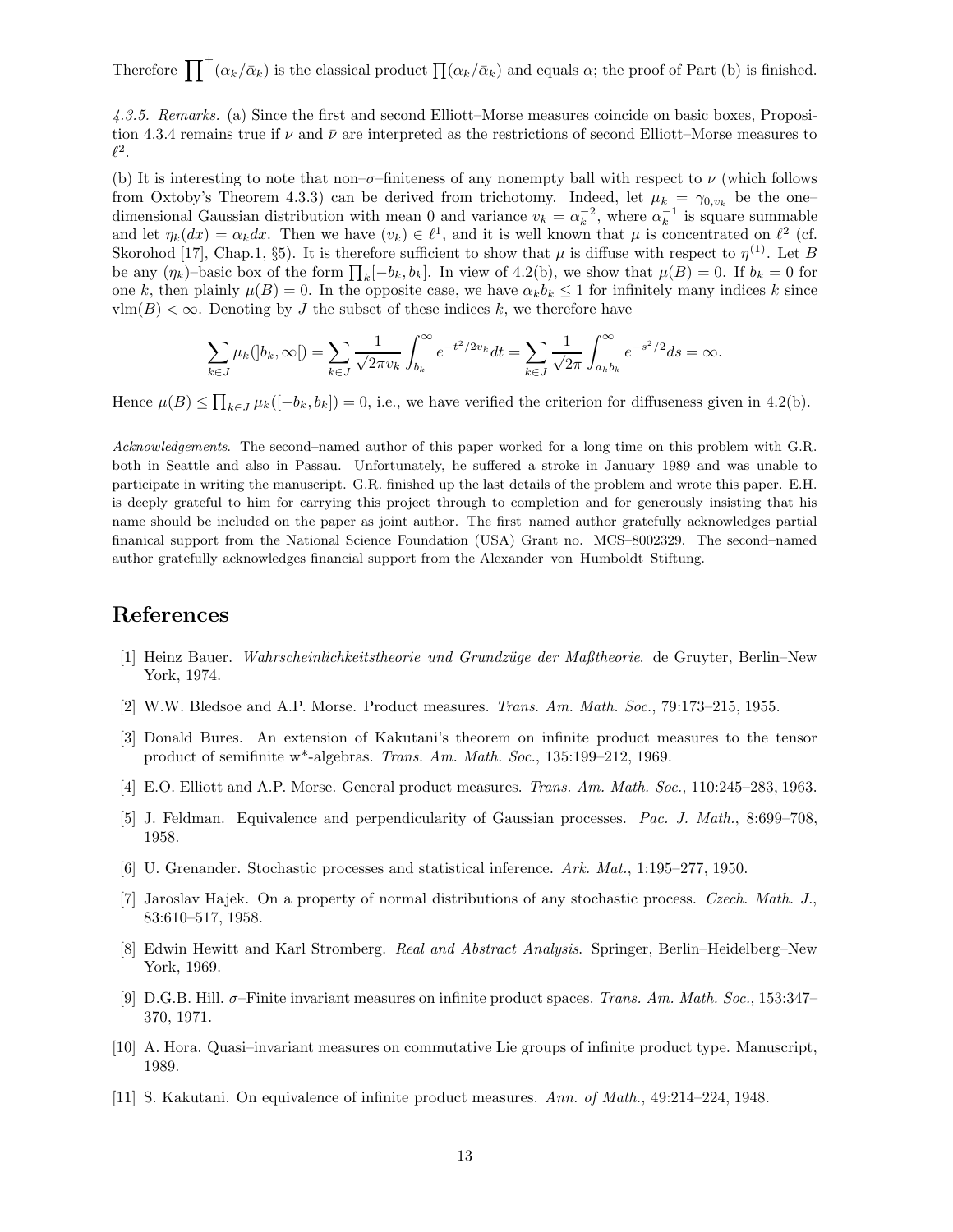Therefore  $\prod^+(\alpha_k/\bar{\alpha}_k)$  is the classical product  $\prod(\alpha_k/\bar{\alpha}_k)$  and equals  $\alpha$ ; the proof of Part (b) is finished.

4.3.5. Remarks. (a) Since the first and second Elliott–Morse measures coincide on basic boxes, Proposition 4.3.4 remains true if  $\nu$  and  $\bar{\nu}$  are interpreted as the restrictions of second Elliott–Morse measures to  $\ell^2.$ 

(b) It is interesting to note that non– $\sigma$ –finiteness of any nonempty ball with respect to  $\nu$  (which follows from Oxtoby's Theorem 4.3.3) can be derived from trichotomy. Indeed, let  $\mu_k = \gamma_{0,v_k}$  be the one– dimensional Gaussian distribution with mean 0 and variance  $v_k = \alpha_k^{-2}$ , where  $\alpha_k^{-1}$  is square summable and let  $\eta_k(dx) = \alpha_k dx$ . Then we have  $(v_k) \in \ell^1$ , and it is well known that  $\mu$  is concentrated on  $\ell^2$  (cf. Skorohod [17], Chap.1, §5). It is therefore sufficient to show that  $\mu$  is diffuse with respect to  $\eta^{(1)}$ . Let B be any  $(\eta_k)$ -basic box of the form  $\prod_k [-b_k, b_k]$ . In view of 4.2(b), we show that  $\mu(B) = 0$ . If  $b_k = 0$  for one k, then plainly  $\mu(B) = 0$ . In the opposite case, we have  $\alpha_k b_k \leq 1$  for infinitely many indices k since  $v \text{Im}(B) < \infty$ . Denoting by J the subset of these indices k, we therefore have

$$
\sum_{k \in J} \mu_k(|b_k, \infty|) = \sum_{k \in J} \frac{1}{\sqrt{2\pi v_k}} \int_{b_k}^{\infty} e^{-t^2/2v_k} dt = \sum_{k \in J} \frac{1}{\sqrt{2\pi}} \int_{a_k b_k}^{\infty} e^{-s^2/2} ds = \infty.
$$

Hence  $\mu(B) \le \prod_{k \in J} \mu_k([-b_k, b_k]) = 0$ , i.e., we have verified the criterion for diffuseness given in 4.2(b).

Acknowledgements. The second–named author of this paper worked for a long time on this problem with G.R. both in Seattle and also in Passau. Unfortunately, he suffered a stroke in January 1989 and was unable to participate in writing the manuscript. G.R. finished up the last details of the problem and wrote this paper. E.H. is deeply grateful to him for carrying this project through to completion and for generously insisting that his name should be included on the paper as joint author. The first–named author gratefully acknowledges partial finanical support from the National Science Foundation (USA) Grant no. MCS–8002329. The second–named author gratefully acknowledges financial support from the Alexander–von–Humboldt–Stiftung.

# References

- [1] Heinz Bauer. Wahrscheinlichkeitstheorie und Grundzüge der Maßtheorie. de Gruyter, Berlin–New York, 1974.
- [2] W.W. Bledsoe and A.P. Morse. Product measures. Trans. Am. Math. Soc., 79:173–215, 1955.
- [3] Donald Bures. An extension of Kakutani's theorem on infinite product measures to the tensor product of semifinite w\*-algebras. Trans. Am. Math. Soc., 135:199–212, 1969.
- [4] E.O. Elliott and A.P. Morse. General product measures. Trans. Am. Math. Soc., 110:245–283, 1963.
- [5] J. Feldman. Equivalence and perpendicularity of Gaussian processes. Pac. J. Math., 8:699–708, 1958.
- [6] U. Grenander. Stochastic processes and statistical inference. Ark. Mat., 1:195–277, 1950.
- [7] Jaroslav Hajek. On a property of normal distributions of any stochastic process. Czech. Math. J., 83:610–517, 1958.
- [8] Edwin Hewitt and Karl Stromberg. Real and Abstract Analysis. Springer, Berlin–Heidelberg–New York, 1969.
- [9] D.G.B. Hill. σ–Finite invariant measures on infinite product spaces. Trans. Am. Math. Soc., 153:347– 370, 1971.
- [10] A. Hora. Quasi–invariant measures on commutative Lie groups of infinite product type. Manuscript, 1989.
- [11] S. Kakutani. On equivalence of infinite product measures. Ann. of Math., 49:214–224, 1948.